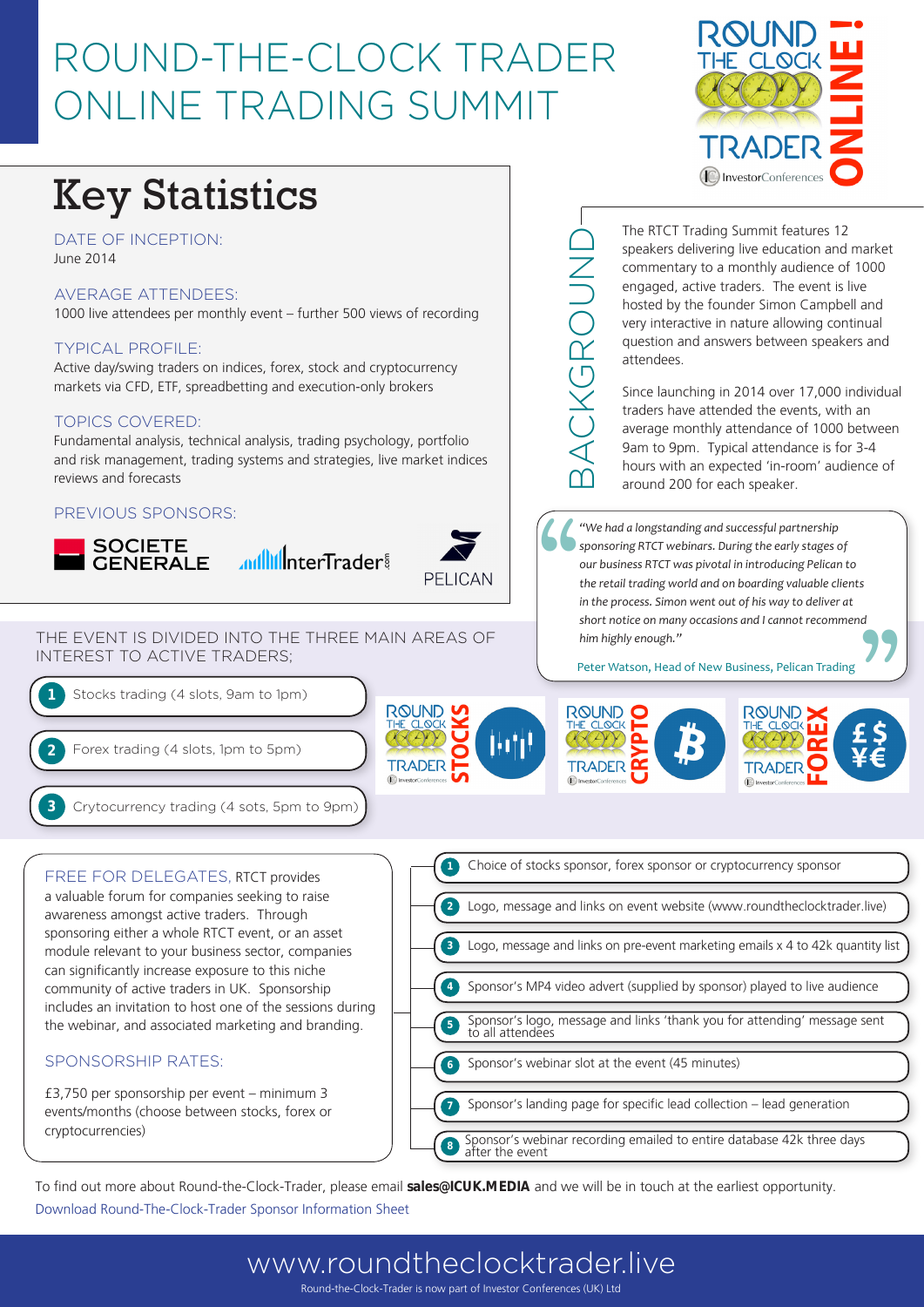## ROUND-THE-CLOCK TRADER ONLINE TRADING SUMMIT

# Key Statistics

DATE OF INCEPTION: June 2014

#### AVERAGE ATTENDEES:

1000 live attendees per monthly event – further 500 views of recording

#### TYPICAL PROFILE:

Active day/swing traders on indices, forex, stock and cryptocurrency markets via CFD, ETF, spreadbetting and execution-only brokers

#### TOPICS COVERED:

Fundamental analysis, technical analysis, trading psychology, portfolio and risk management, trading systems and strategies, live market indices reviews and forecasts

#### PREVIOUS SPONSORS:





THE EVENT IS DIVIDED INTO THE THREE MAIN AREAS OF INTEREST TO ACTIVE TRADERS;



**ROUND** HTH **TRADER** 



The RTCT Trading Summit features 12 speakers delivering live education and market commentary to a monthly audience of 1000 engaged, active traders. The event is live hosted by the founder Simon Campbell and very interactive in nature allowing continual question and answers between speakers and attendees.

Since launching in 2014 over 17,000 individual traders have attended the events, with an average monthly attendance of 1000 between 9am to 9pm. Typical attendance is for 3-4 hours with an expected 'in-room' audience of around 200 for each speaker.

"<br>"<br>" .<br>**ול** *"We had a longstanding and successful partnership sponsoring RTCT webinars. During the early stages of our business RTCT was pivotal in introducing Pelican to the retail trading world and on boarding valuable clients in the process. Simon went out of his way to deliver at short notice on many occasions and I cannot recommend him highly enough."* 

Peter Watson, Head of New Business, Pelican Trading



BACKGROUND

**BACKGROUN** 



FREE FOR DELEGATES, RTCT provides a valuable forum for companies seeking to raise awareness amongst active traders. Through sponsoring either a whole RTCT event, or an asset module relevant to your business sector, companies can significantly increase exposure to this niche community of active traders in UK. Sponsorship includes an invitation to host one of the sessions during the webinar, and associated marketing and branding.

#### SPONSORSHIP RATES:

£3,750 per sponsorship per event – minimum 3 events/months (choose between stocks, forex or cryptocurrencies)



To find out more about Round-the-Clock-Trader, please email **sales@ICUK.MEDIA** and we will be in touch at the earliest opportunity.

Download Round-The-Clock-Trader Sponsor Information Sheet

### www.roundtheclocktrader.live Round-the-Clock-Trader is now part of Investor Conferences (UK) Ltd